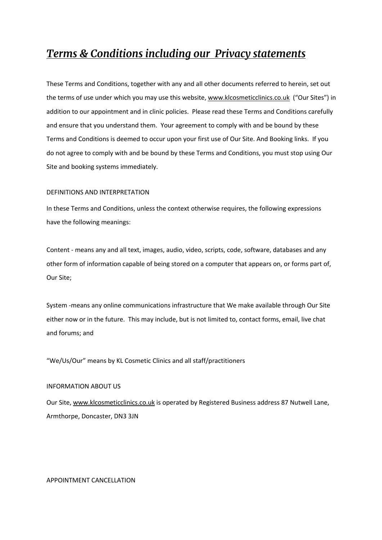# *Terms & Conditions including our Privacy statements*

These Terms and Conditions, together with any and all other documents referred to herein, set out the terms of use under which you may use this website, www.klcosmeticclinics.co.uk ("Our Sites") in addition to our appointment and in clinic policies. Please read these Terms and Conditions carefully and ensure that you understand them. Your agreement to comply with and be bound by these Terms and Conditions is deemed to occur upon your first use of Our Site. And Booking links. If you do not agree to comply with and be bound by these Terms and Conditions, you must stop using Our Site and booking systems immediately.

# DEFINITIONS AND INTERPRETATION

In these Terms and Conditions, unless the context otherwise requires, the following expressions have the following meanings:

Content - means any and all text, images, audio, video, scripts, code, software, databases and any other form of information capable of being stored on a computer that appears on, or forms part of, Our Site;

System -means any online communications infrastructure that We make available through Our Site either now or in the future. This may include, but is not limited to, contact forms, email, live chat and forums; and

"We/Us/Our" means by KL Cosmetic Clinics and all staff/practitioners

# INFORMATION ABOUT US

Our Site, www.klcosmeticclinics.co.uk is operated by Registered Business address 87 Nutwell Lane, Armthorpe, Doncaster, DN3 3JN

APPOINTMENT CANCELLATION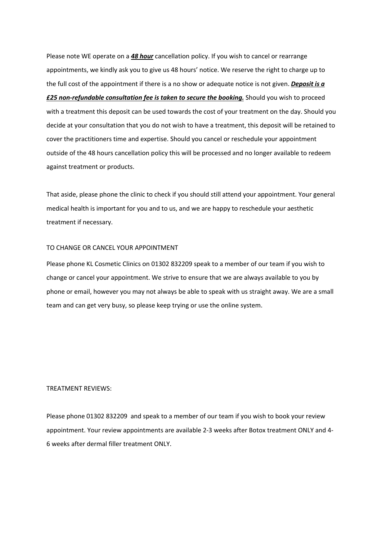Please note WE operate on a *48 hour* cancellation policy. If you wish to cancel or rearrange appointments, we kindly ask you to give us 48 hours' notice. We reserve the right to charge up to the full cost of the appointment if there is a no show or adequate notice is not given. *Deposit is a £25 non-refundable consultation fee is taken to secure the booking.* Should you wish to proceed with a treatment this deposit can be used towards the cost of your treatment on the day. Should you decide at your consultation that you do not wish to have a treatment, this deposit will be retained to cover the practitioners time and expertise. Should you cancel or reschedule your appointment outside of the 48 hours cancellation policy this will be processed and no longer available to redeem against treatment or products.

That aside, please phone the clinic to check if you should still attend your appointment. Your general medical health is important for you and to us, and we are happy to reschedule your aesthetic treatment if necessary.

#### TO CHANGE OR CANCEL YOUR APPOINTMENT

Please phone KL Cosmetic Clinics on 01302 832209 speak to a member of our team if you wish to change or cancel your appointment. We strive to ensure that we are always available to you by phone or email, however you may not always be able to speak with us straight away. We are a small team and can get very busy, so please keep trying or use the online system.

#### TREATMENT REVIEWS:

Please phone 01302 832209 and speak to a member of our team if you wish to book your review appointment. Your review appointments are available 2-3 weeks after Botox treatment ONLY and 4- 6 weeks after dermal filler treatment ONLY.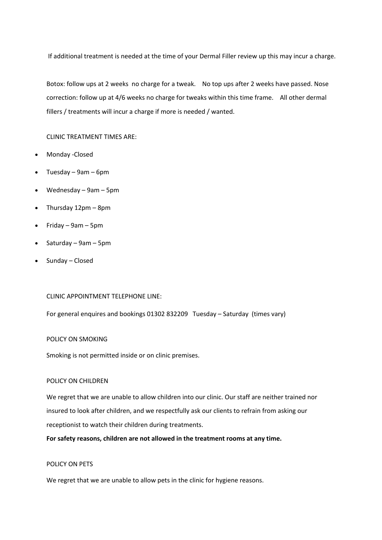If additional treatment is needed at the time of your Dermal Filler review up this may incur a charge.

Botox: follow ups at 2 weeks no charge for a tweak. No top ups after 2 weeks have passed. Nose correction: follow up at 4/6 weeks no charge for tweaks within this time frame. All other dermal fillers / treatments will incur a charge if more is needed / wanted.

CLINIC TREATMENT TIMES ARE:

- Monday -Closed
- Tuesday 9am 6pm
- Wednesday 9am 5pm
- Thursday 12pm 8pm
- Friday 9am 5pm
- Saturday 9am 5pm
- Sunday Closed

CLINIC APPOINTMENT TELEPHONE LINE:

For general enquires and bookings 01302 832209 Tuesday – Saturday (times vary)

#### POLICY ON SMOKING

Smoking is not permitted inside or on clinic premises.

#### POLICY ON CHILDREN

We regret that we are unable to allow children into our clinic. Our staff are neither trained nor insured to look after children, and we respectfully ask our clients to refrain from asking our receptionist to watch their children during treatments.

**For safety reasons, children are not allowed in the treatment rooms at any time.**

# POLICY ON PETS

We regret that we are unable to allow pets in the clinic for hygiene reasons.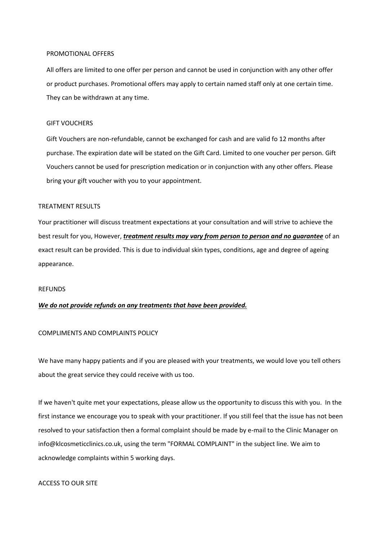#### PROMOTIONAL OFFERS

All offers are limited to one offer per person and cannot be used in conjunction with any other offer or product purchases. Promotional offers may apply to certain named staff only at one certain time. They can be withdrawn at any time.

# GIFT VOUCHERS

Gift Vouchers are non-refundable, cannot be exchanged for cash and are valid fo 12 months after purchase. The expiration date will be stated on the Gift Card. Limited to one voucher per person. Gift Vouchers cannot be used for prescription medication or in conjunction with any other offers. Please bring your gift voucher with you to your appointment.

# TREATMENT RESULTS

Your practitioner will discuss treatment expectations at your consultation and will strive to achieve the best result for you, However, *treatment results may vary from person to person and no guarantee* of an exact result can be provided. This is due to individual skin types, conditions, age and degree of ageing appearance.

#### REFUNDS

# *We do not provide refunds on any treatments that have been provided.*

# COMPLIMENTS AND COMPLAINTS POLICY

We have many happy patients and if you are pleased with your treatments, we would love you tell others about the great service they could receive with us too.

If we haven't quite met your expectations, please allow us the opportunity to discuss this with you. In the first instance we encourage you to speak with your practitioner. If you still feel that the issue has not been resolved to your satisfaction then a formal complaint should be made by e-mail to the Clinic Manager on info@klcosmeticclinics.co.uk, using the term "FORMAL COMPLAINT" in the subject line. We aim to acknowledge complaints within 5 working days.

# ACCESS TO OUR SITE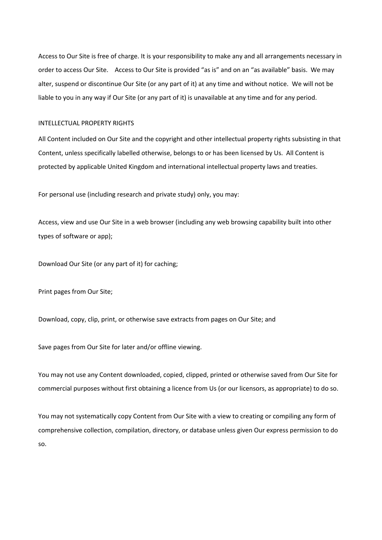Access to Our Site is free of charge. It is your responsibility to make any and all arrangements necessary in order to access Our Site. Access to Our Site is provided "as is" and on an "as available" basis. We may alter, suspend or discontinue Our Site (or any part of it) at any time and without notice. We will not be liable to you in any way if Our Site (or any part of it) is unavailable at any time and for any period.

# INTELLECTUAL PROPERTY RIGHTS

All Content included on Our Site and the copyright and other intellectual property rights subsisting in that Content, unless specifically labelled otherwise, belongs to or has been licensed by Us. All Content is protected by applicable United Kingdom and international intellectual property laws and treaties.

For personal use (including research and private study) only, you may:

Access, view and use Our Site in a web browser (including any web browsing capability built into other types of software or app);

Download Our Site (or any part of it) for caching;

Print pages from Our Site;

Download, copy, clip, print, or otherwise save extracts from pages on Our Site; and

Save pages from Our Site for later and/or offline viewing.

You may not use any Content downloaded, copied, clipped, printed or otherwise saved from Our Site for commercial purposes without first obtaining a licence from Us (or our licensors, as appropriate) to do so.

You may not systematically copy Content from Our Site with a view to creating or compiling any form of comprehensive collection, compilation, directory, or database unless given Our express permission to do so.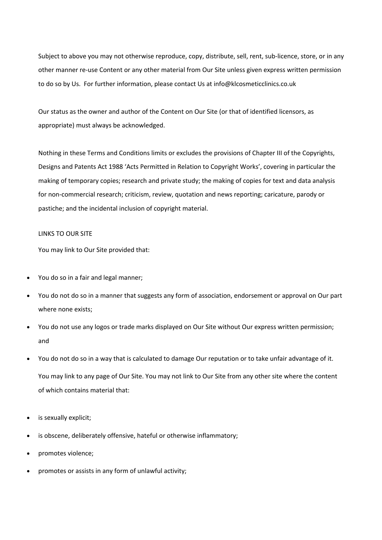Subject to above you may not otherwise reproduce, copy, distribute, sell, rent, sub-licence, store, or in any other manner re-use Content or any other material from Our Site unless given express written permission to do so by Us. For further information, please contact Us at info@klcosmeticclinics.co.uk

Our status as the owner and author of the Content on Our Site (or that of identified licensors, as appropriate) must always be acknowledged.

Nothing in these Terms and Conditions limits or excludes the provisions of Chapter III of the Copyrights, Designs and Patents Act 1988 'Acts Permitted in Relation to Copyright Works', covering in particular the making of temporary copies; research and private study; the making of copies for text and data analysis for non-commercial research; criticism, review, quotation and news reporting; caricature, parody or pastiche; and the incidental inclusion of copyright material.

# LINKS TO OUR SITE

You may link to Our Site provided that:

- You do so in a fair and legal manner;
- You do not do so in a manner that suggests any form of association, endorsement or approval on Our part where none exists;
- You do not use any logos or trade marks displayed on Our Site without Our express written permission; and
- You do not do so in a way that is calculated to damage Our reputation or to take unfair advantage of it. You may link to any page of Our Site. You may not link to Our Site from any other site where the content of which contains material that:
- is sexually explicit;
- is obscene, deliberately offensive, hateful or otherwise inflammatory;
- promotes violence;
- promotes or assists in any form of unlawful activity;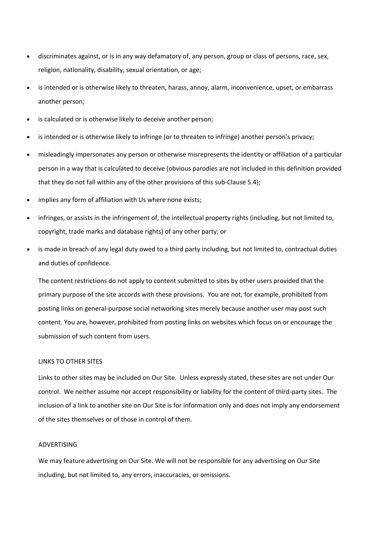- discriminates against, or is in any way defamatory of, any person, group or class of persons, race, sex, religion, nationality, disability, sexual orientation, or age;
- is intended or is otherwise likely to threaten, harass, annoy, alarm, inconvenience, upset, or embarrass another person;
- is calculated or is otherwise likely to deceive another person;
- is intended or is otherwise likely to infringe (or to threaten to infringe) another person's privacy;
- misleadingly impersonates any person or otherwise misrepresents the identity or affiliation of a particular person in a way that is calculated to deceive (obvious parodies are not included in this definition provided that they do not fall within any of the other provisions of this sub-Clause 5.4);
- implies any form of affiliation with Us where none exists;
- infringes, or assists in the infringement of, the intellectual property rights (including, but not limited to, copyright, trade marks and database rights) of any other party; or
- is made in breach of any legal duty owed to a third party including, but not limited to, contractual duties and duties of confidence.

The content restrictions do not apply to content submitted to sites by other users provided that the primary purpose of the site accords with these provisions. You are not, for example, prohibited from posting links on general-purpose social networking sites merely because another user may post such content. You are, however, prohibited from posting links on websites which focus on or encourage the submission of such content from users.

# LINKS TO OTHER SITES

Links to other sites may be included on Our Site. Unless expressly stated, these sites are not under Our control. We neither assume nor accept responsibility or liability for the content of third-party sites. The inclusion of a link to another site on Our Site is for information only and does not imply any endorsement of the sites themselves or of those in control of them.

# ADVERTISING

We may feature advertising on Our Site. We will not be responsible for any advertising on Our Site including, but not limited to, any errors, inaccuracies, or omissions.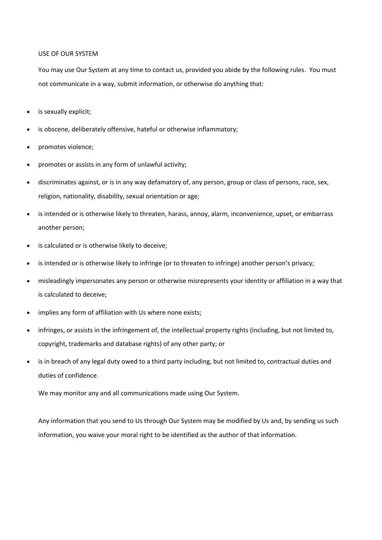# USE OF OUR SYSTEM

You may use Our System at any time to contact us, provided you abide by the following rules. You must not communicate in a way, submit information, or otherwise do anything that:

- is sexually explicit;
- is obscene, deliberately offensive, hateful or otherwise inflammatory;
- promotes violence;
- promotes or assists in any form of unlawful activity;
- discriminates against, or is in any way defamatory of, any person, group or class of persons, race, sex, religion, nationality, disability, sexual orientation or age;
- is intended or is otherwise likely to threaten, harass, annoy, alarm, inconvenience, upset, or embarrass another person;
- is calculated or is otherwise likely to deceive;
- is intended or is otherwise likely to infringe (or to threaten to infringe) another person's privacy;
- misleadingly impersonates any person or otherwise misrepresents your identity or affiliation in a way that is calculated to deceive;
- implies any form of affiliation with Us where none exists;
- infringes, or assists in the infringement of, the intellectual property rights (including, but not limited to, copyright, trademarks and database rights) of any other party; or
- is in breach of any legal duty owed to a third party including, but not limited to, contractual duties and duties of confidence.

We may monitor any and all communications made using Our System.

Any information that you send to Us through Our System may be modified by Us and, by sending us such information, you waive your moral right to be identified as the author of that information.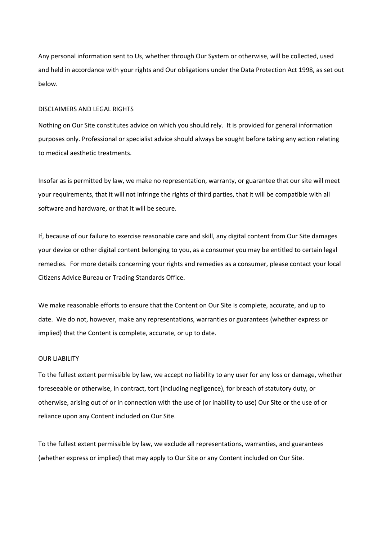Any personal information sent to Us, whether through Our System or otherwise, will be collected, used and held in accordance with your rights and Our obligations under the Data Protection Act 1998, as set out below.

# DISCLAIMERS AND LEGAL RIGHTS

Nothing on Our Site constitutes advice on which you should rely. It is provided for general information purposes only. Professional or specialist advice should always be sought before taking any action relating to medical aesthetic treatments.

Insofar as is permitted by law, we make no representation, warranty, or guarantee that our site will meet your requirements, that it will not infringe the rights of third parties, that it will be compatible with all software and hardware, or that it will be secure.

If, because of our failure to exercise reasonable care and skill, any digital content from Our Site damages your device or other digital content belonging to you, as a consumer you may be entitled to certain legal remedies. For more details concerning your rights and remedies as a consumer, please contact your local Citizens Advice Bureau or Trading Standards Office.

We make reasonable efforts to ensure that the Content on Our Site is complete, accurate, and up to date. We do not, however, make any representations, warranties or guarantees (whether express or implied) that the Content is complete, accurate, or up to date.

# OUR LIABILITY

To the fullest extent permissible by law, we accept no liability to any user for any loss or damage, whether foreseeable or otherwise, in contract, tort (including negligence), for breach of statutory duty, or otherwise, arising out of or in connection with the use of (or inability to use) Our Site or the use of or reliance upon any Content included on Our Site.

To the fullest extent permissible by law, we exclude all representations, warranties, and guarantees (whether express or implied) that may apply to Our Site or any Content included on Our Site.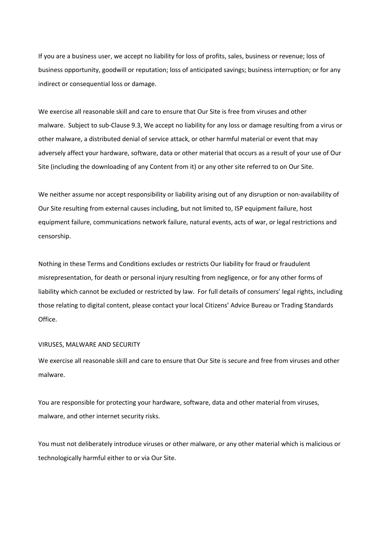If you are a business user, we accept no liability for loss of profits, sales, business or revenue; loss of business opportunity, goodwill or reputation; loss of anticipated savings; business interruption; or for any indirect or consequential loss or damage.

We exercise all reasonable skill and care to ensure that Our Site is free from viruses and other malware. Subject to sub-Clause 9.3, We accept no liability for any loss or damage resulting from a virus or other malware, a distributed denial of service attack, or other harmful material or event that may adversely affect your hardware, software, data or other material that occurs as a result of your use of Our Site (including the downloading of any Content from it) or any other site referred to on Our Site.

We neither assume nor accept responsibility or liability arising out of any disruption or non-availability of Our Site resulting from external causes including, but not limited to, ISP equipment failure, host equipment failure, communications network failure, natural events, acts of war, or legal restrictions and censorship.

Nothing in these Terms and Conditions excludes or restricts Our liability for fraud or fraudulent misrepresentation, for death or personal injury resulting from negligence, or for any other forms of liability which cannot be excluded or restricted by law. For full details of consumers' legal rights, including those relating to digital content, please contact your local Citizens' Advice Bureau or Trading Standards Office.

#### VIRUSES, MALWARE AND SECURITY

We exercise all reasonable skill and care to ensure that Our Site is secure and free from viruses and other malware.

You are responsible for protecting your hardware, software, data and other material from viruses, malware, and other internet security risks.

You must not deliberately introduce viruses or other malware, or any other material which is malicious or technologically harmful either to or via Our Site.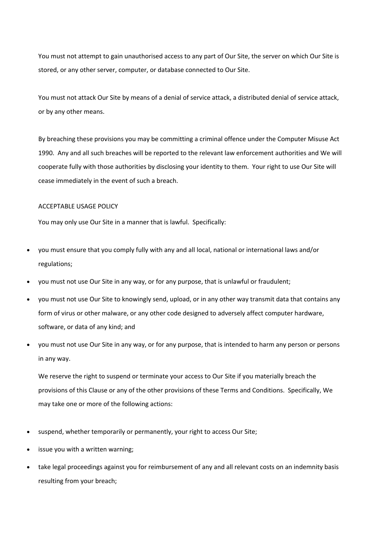You must not attempt to gain unauthorised access to any part of Our Site, the server on which Our Site is stored, or any other server, computer, or database connected to Our Site.

You must not attack Our Site by means of a denial of service attack, a distributed denial of service attack, or by any other means.

By breaching these provisions you may be committing a criminal offence under the Computer Misuse Act 1990. Any and all such breaches will be reported to the relevant law enforcement authorities and We will cooperate fully with those authorities by disclosing your identity to them. Your right to use Our Site will cease immediately in the event of such a breach.

# ACCEPTABLE USAGE POLICY

You may only use Our Site in a manner that is lawful. Specifically:

- you must ensure that you comply fully with any and all local, national or international laws and/or regulations;
- you must not use Our Site in any way, or for any purpose, that is unlawful or fraudulent;
- you must not use Our Site to knowingly send, upload, or in any other way transmit data that contains any form of virus or other malware, or any other code designed to adversely affect computer hardware, software, or data of any kind; and
- you must not use Our Site in any way, or for any purpose, that is intended to harm any person or persons in any way.

We reserve the right to suspend or terminate your access to Our Site if you materially breach the provisions of this Clause or any of the other provisions of these Terms and Conditions. Specifically, We may take one or more of the following actions:

- suspend, whether temporarily or permanently, your right to access Our Site;
- issue you with a written warning;
- take legal proceedings against you for reimbursement of any and all relevant costs on an indemnity basis resulting from your breach;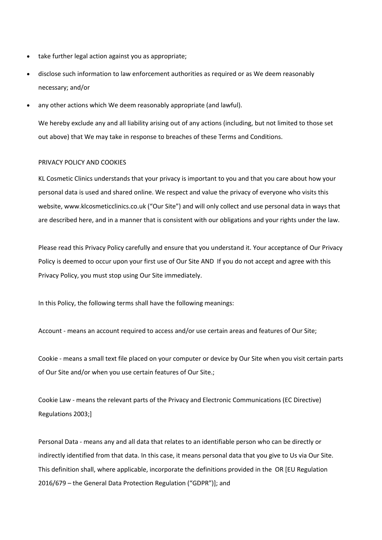- take further legal action against you as appropriate;
- disclose such information to law enforcement authorities as required or as We deem reasonably necessary; and/or
- any other actions which We deem reasonably appropriate (and lawful).

We hereby exclude any and all liability arising out of any actions (including, but not limited to those set out above) that We may take in response to breaches of these Terms and Conditions.

# PRIVACY POLICY AND COOKIES

KL Cosmetic Clinics understands that your privacy is important to you and that you care about how your personal data is used and shared online. We respect and value the privacy of everyone who visits this website, www.klcosmeticclinics.co.uk ("Our Site") and will only collect and use personal data in ways that are described here, and in a manner that is consistent with our obligations and your rights under the law.

Please read this Privacy Policy carefully and ensure that you understand it. Your acceptance of Our Privacy Policy is deemed to occur upon your first use of Our Site AND If you do not accept and agree with this Privacy Policy, you must stop using Our Site immediately.

In this Policy, the following terms shall have the following meanings:

Account - means an account required to access and/or use certain areas and features of Our Site;

Cookie - means a small text file placed on your computer or device by Our Site when you visit certain parts of Our Site and/or when you use certain features of Our Site.;

Cookie Law - means the relevant parts of the Privacy and Electronic Communications (EC Directive) Regulations 2003;]

Personal Data - means any and all data that relates to an identifiable person who can be directly or indirectly identified from that data. In this case, it means personal data that you give to Us via Our Site. This definition shall, where applicable, incorporate the definitions provided in the OR [EU Regulation 2016/679 – the General Data Protection Regulation ("GDPR")]; and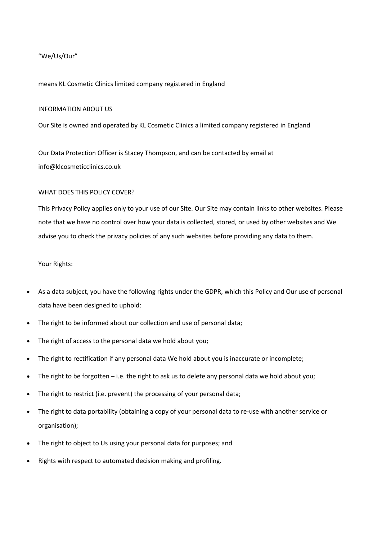# "We/Us/Our"

# means KL Cosmetic Clinics limited company registered in England

# INFORMATION ABOUT US

Our Site is owned and operated by KL Cosmetic Clinics a limited company registered in England

Our Data Protection Officer is Stacey Thompson, and can be contacted by email at info@klcosmeticclinics.co.uk

# WHAT DOES THIS POLICY COVER?

This Privacy Policy applies only to your use of our Site. Our Site may contain links to other websites. Please note that we have no control over how your data is collected, stored, or used by other websites and We advise you to check the privacy policies of any such websites before providing any data to them.

# Your Rights:

- As a data subject, you have the following rights under the GDPR, which this Policy and Our use of personal data have been designed to uphold:
- The right to be informed about our collection and use of personal data;
- The right of access to the personal data we hold about you;
- The right to rectification if any personal data We hold about you is inaccurate or incomplete;
- The right to be forgotten i.e. the right to ask us to delete any personal data we hold about you;
- The right to restrict (i.e. prevent) the processing of your personal data;
- The right to data portability (obtaining a copy of your personal data to re-use with another service or organisation);
- The right to object to Us using your personal data for purposes; and
- Rights with respect to automated decision making and profiling.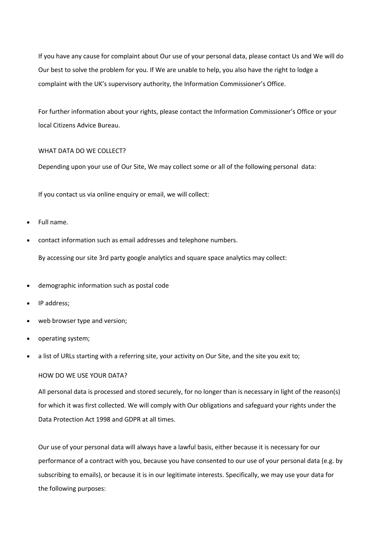If you have any cause for complaint about Our use of your personal data, please contact Us and We will do Our best to solve the problem for you. If We are unable to help, you also have the right to lodge a complaint with the UK's supervisory authority, the Information Commissioner's Office.

For further information about your rights, please contact the Information Commissioner's Office or your local Citizens Advice Bureau.

# WHAT DATA DO WE COLLECT?

Depending upon your use of Our Site, We may collect some or all of the following personal data:

If you contact us via online enquiry or email, we will collect:

- Full name.
- contact information such as email addresses and telephone numbers.

By accessing our site 3rd party google analytics and square space analytics may collect:

- demographic information such as postal code
- IP address;
- web browser type and version;
- operating system;
- a list of URLs starting with a referring site, your activity on Our Site, and the site you exit to;

# HOW DO WE USE YOUR DATA?

All personal data is processed and stored securely, for no longer than is necessary in light of the reason(s) for which it was first collected. We will comply with Our obligations and safeguard your rights under the Data Protection Act 1998 and GDPR at all times.

Our use of your personal data will always have a lawful basis, either because it is necessary for our performance of a contract with you, because you have consented to our use of your personal data (e.g. by subscribing to emails), or because it is in our legitimate interests. Specifically, we may use your data for the following purposes: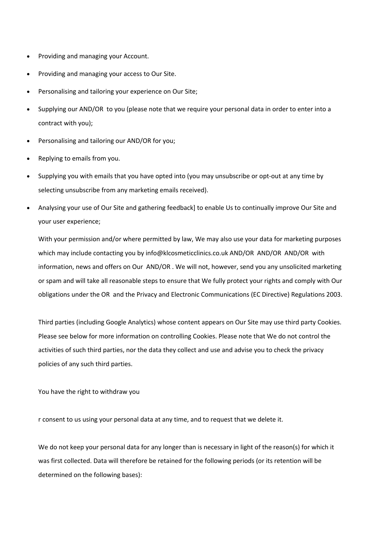- Providing and managing your Account.
- Providing and managing your access to Our Site.
- Personalising and tailoring your experience on Our Site;
- Supplying our AND/OR to you (please note that we require your personal data in order to enter into a contract with you);
- Personalising and tailoring our AND/OR for you;
- Replying to emails from you.
- Supplying you with emails that you have opted into (you may unsubscribe or opt-out at any time by selecting unsubscribe from any marketing emails received).
- Analysing your use of Our Site and gathering feedback] to enable Us to continually improve Our Site and your user experience;

With your permission and/or where permitted by law, We may also use your data for marketing purposes which may include contacting you by info@klcosmeticclinics.co.uk AND/OR AND/OR AND/OR with information, news and offers on Our AND/OR . We will not, however, send you any unsolicited marketing or spam and will take all reasonable steps to ensure that We fully protect your rights and comply with Our obligations under the OR and the Privacy and Electronic Communications (EC Directive) Regulations 2003.

Third parties (including Google Analytics) whose content appears on Our Site may use third party Cookies. Please see below for more information on controlling Cookies. Please note that We do not control the activities of such third parties, nor the data they collect and use and advise you to check the privacy policies of any such third parties.

You have the right to withdraw you

r consent to us using your personal data at any time, and to request that we delete it.

We do not keep your personal data for any longer than is necessary in light of the reason(s) for which it was first collected. Data will therefore be retained for the following periods (or its retention will be determined on the following bases):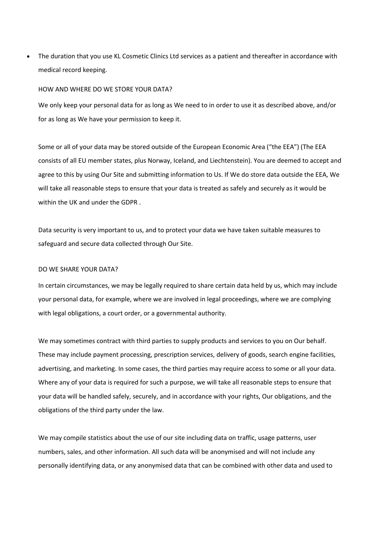• The duration that you use KL Cosmetic Clinics Ltd services as a patient and thereafter in accordance with medical record keeping.

# HOW AND WHERE DO WE STORE YOUR DATA?

We only keep your personal data for as long as We need to in order to use it as described above, and/or for as long as We have your permission to keep it.

Some or all of your data may be stored outside of the European Economic Area ("the EEA") (The EEA consists of all EU member states, plus Norway, Iceland, and Liechtenstein). You are deemed to accept and agree to this by using Our Site and submitting information to Us. If We do store data outside the EEA, We will take all reasonable steps to ensure that your data is treated as safely and securely as it would be within the UK and under the GDPR .

Data security is very important to us, and to protect your data we have taken suitable measures to safeguard and secure data collected through Our Site.

#### DO WE SHARE YOUR DATA?

In certain circumstances, we may be legally required to share certain data held by us, which may include your personal data, for example, where we are involved in legal proceedings, where we are complying with legal obligations, a court order, or a governmental authority.

We may sometimes contract with third parties to supply products and services to you on Our behalf. These may include payment processing, prescription services, delivery of goods, search engine facilities, advertising, and marketing. In some cases, the third parties may require access to some or all your data. Where any of your data is required for such a purpose, we will take all reasonable steps to ensure that your data will be handled safely, securely, and in accordance with your rights, Our obligations, and the obligations of the third party under the law.

We may compile statistics about the use of our site including data on traffic, usage patterns, user numbers, sales, and other information. All such data will be anonymised and will not include any personally identifying data, or any anonymised data that can be combined with other data and used to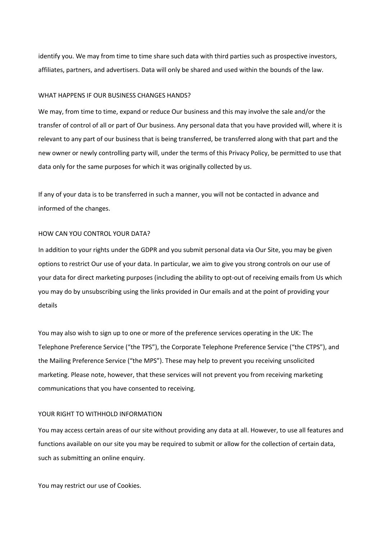identify you. We may from time to time share such data with third parties such as prospective investors, affiliates, partners, and advertisers. Data will only be shared and used within the bounds of the law.

#### WHAT HAPPENS IF OUR BUSINESS CHANGES HANDS?

We may, from time to time, expand or reduce Our business and this may involve the sale and/or the transfer of control of all or part of Our business. Any personal data that you have provided will, where it is relevant to any part of our business that is being transferred, be transferred along with that part and the new owner or newly controlling party will, under the terms of this Privacy Policy, be permitted to use that data only for the same purposes for which it was originally collected by us.

If any of your data is to be transferred in such a manner, you will not be contacted in advance and informed of the changes.

# HOW CAN YOU CONTROL YOUR DATA?

In addition to your rights under the GDPR and you submit personal data via Our Site, you may be given options to restrict Our use of your data. In particular, we aim to give you strong controls on our use of your data for direct marketing purposes (including the ability to opt-out of receiving emails from Us which you may do by unsubscribing using the links provided in Our emails and at the point of providing your details

You may also wish to sign up to one or more of the preference services operating in the UK: The Telephone Preference Service ("the TPS"), the Corporate Telephone Preference Service ("the CTPS"), and the Mailing Preference Service ("the MPS"). These may help to prevent you receiving unsolicited marketing. Please note, however, that these services will not prevent you from receiving marketing communications that you have consented to receiving.

#### YOUR RIGHT TO WITHHOLD INFORMATION

You may access certain areas of our site without providing any data at all. However, to use all features and functions available on our site you may be required to submit or allow for the collection of certain data, such as submitting an online enquiry.

You may restrict our use of Cookies.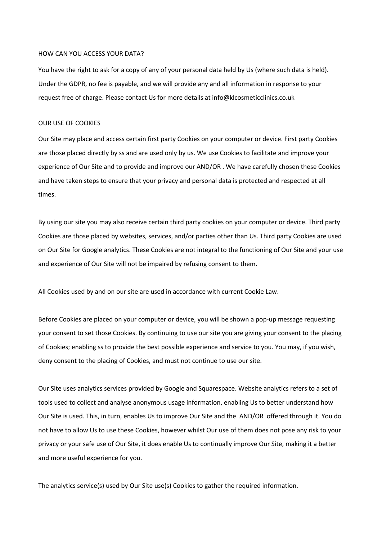#### HOW CAN YOU ACCESS YOUR DATA?

You have the right to ask for a copy of any of your personal data held by Us (where such data is held). Under the GDPR, no fee is payable, and we will provide any and all information in response to your request free of charge. Please contact Us for more details at info@klcosmeticclinics.co.uk

# OUR USE OF COOKIES

Our Site may place and access certain first party Cookies on your computer or device. First party Cookies are those placed directly by ss and are used only by us. We use Cookies to facilitate and improve your experience of Our Site and to provide and improve our AND/OR . We have carefully chosen these Cookies and have taken steps to ensure that your privacy and personal data is protected and respected at all times.

By using our site you may also receive certain third party cookies on your computer or device. Third party Cookies are those placed by websites, services, and/or parties other than Us. Third party Cookies are used on Our Site for Google analytics. These Cookies are not integral to the functioning of Our Site and your use and experience of Our Site will not be impaired by refusing consent to them.

All Cookies used by and on our site are used in accordance with current Cookie Law.

Before Cookies are placed on your computer or device, you will be shown a pop-up message requesting your consent to set those Cookies. By continuing to use our site you are giving your consent to the placing of Cookies; enabling ss to provide the best possible experience and service to you. You may, if you wish, deny consent to the placing of Cookies, and must not continue to use our site.

Our Site uses analytics services provided by Google and Squarespace. Website analytics refers to a set of tools used to collect and analyse anonymous usage information, enabling Us to better understand how Our Site is used. This, in turn, enables Us to improve Our Site and the AND/OR offered through it. You do not have to allow Us to use these Cookies, however whilst Our use of them does not pose any risk to your privacy or your safe use of Our Site, it does enable Us to continually improve Our Site, making it a better and more useful experience for you.

The analytics service(s) used by Our Site use(s) Cookies to gather the required information.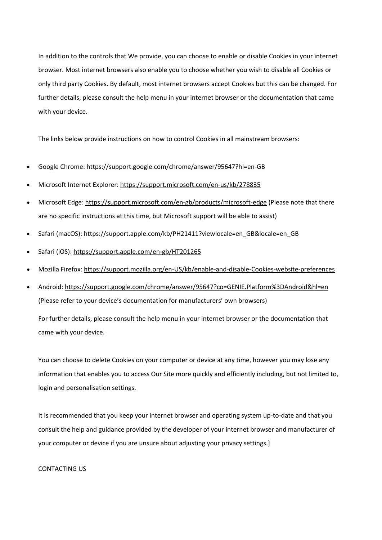In addition to the controls that We provide, you can choose to enable or disable Cookies in your internet browser. Most internet browsers also enable you to choose whether you wish to disable all Cookies or only third party Cookies. By default, most internet browsers accept Cookies but this can be changed. For further details, please consult the help menu in your internet browser or the documentation that came with your device.

The links below provide instructions on how to control Cookies in all mainstream browsers:

- Google Chrome: https://support.google.com/chrome/answer/95647?hl=en-GB
- Microsoft Internet Explorer: https://support.microsoft.com/en-us/kb/278835
- Microsoft Edge: https://support.microsoft.com/en-gb/products/microsoft-edge (Please note that there are no specific instructions at this time, but Microsoft support will be able to assist)
- Safari (macOS): https://support.apple.com/kb/PH21411?viewlocale=en\_GB&locale=en\_GB
- Safari (iOS): https://support.apple.com/en-gb/HT201265
- Mozilla Firefox: https://support.mozilla.org/en-US/kb/enable-and-disable-Cookies-website-preferences
- Android: https://support.google.com/chrome/answer/95647?co=GENIE.Platform%3DAndroid&hl=en (Please refer to your device's documentation for manufacturers' own browsers)

For further details, please consult the help menu in your internet browser or the documentation that came with your device.

You can choose to delete Cookies on your computer or device at any time, however you may lose any information that enables you to access Our Site more quickly and efficiently including, but not limited to, login and personalisation settings.

It is recommended that you keep your internet browser and operating system up-to-date and that you consult the help and guidance provided by the developer of your internet browser and manufacturer of your computer or device if you are unsure about adjusting your privacy settings.]

# CONTACTING US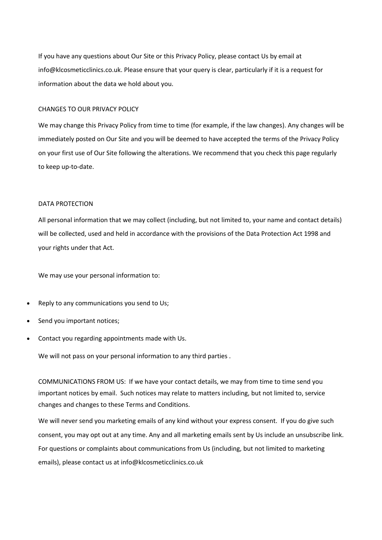If you have any questions about Our Site or this Privacy Policy, please contact Us by email at info@klcosmeticclinics.co.uk. Please ensure that your query is clear, particularly if it is a request for information about the data we hold about you.

# CHANGES TO OUR PRIVACY POLICY

We may change this Privacy Policy from time to time (for example, if the law changes). Any changes will be immediately posted on Our Site and you will be deemed to have accepted the terms of the Privacy Policy on your first use of Our Site following the alterations. We recommend that you check this page regularly to keep up-to-date.

# DATA PROTECTION

All personal information that we may collect (including, but not limited to, your name and contact details) will be collected, used and held in accordance with the provisions of the Data Protection Act 1998 and your rights under that Act.

We may use your personal information to:

- Reply to any communications you send to Us;
- Send you important notices;
- Contact you regarding appointments made with Us.

We will not pass on your personal information to any third parties .

COMMUNICATIONS FROM US: If we have your contact details, we may from time to time send you important notices by email. Such notices may relate to matters including, but not limited to, service changes and changes to these Terms and Conditions.

We will never send you marketing emails of any kind without your express consent. If you do give such consent, you may opt out at any time. Any and all marketing emails sent by Us include an unsubscribe link. For questions or complaints about communications from Us (including, but not limited to marketing emails), please contact us at info@klcosmeticclinics.co.uk